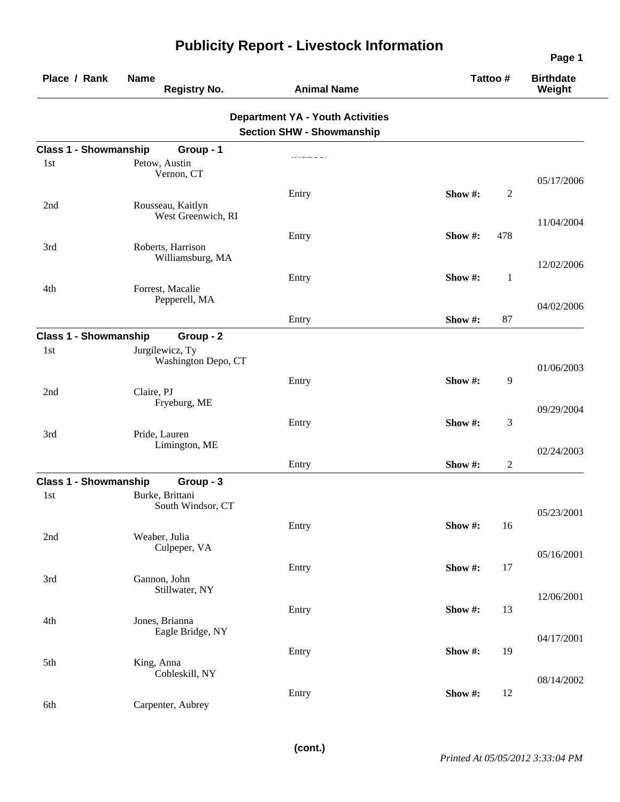| Place / Rank                 | <b>Name</b><br><b>Registry No.</b>      | <b>Animal Name</b>                                                          |         | Tattoo #       | <b>Birthdate</b><br>Weight |
|------------------------------|-----------------------------------------|-----------------------------------------------------------------------------|---------|----------------|----------------------------|
|                              |                                         | <b>Department YA - Youth Activities</b><br><b>Section SHW - Showmanship</b> |         |                |                            |
| <b>Class 1 - Showmanship</b> | Group - 1                               |                                                                             |         |                |                            |
| 1st                          | Petow, Austin<br>Vernon, CT             |                                                                             |         |                | 05/17/2006                 |
| 2nd                          | Rousseau, Kaitlyn<br>West Greenwich, RI | Entry                                                                       | Show#:  | $\overline{c}$ | 11/04/2004                 |
| 3rd                          | Roberts, Harrison<br>Williamsburg, MA   | Entry                                                                       | Show #: | 478            |                            |
| 4th                          | Forrest, Macalie                        | Entry                                                                       | Show #: | $\mathbf{1}$   | 12/02/2006                 |
|                              | Pepperell, MA                           | Entry                                                                       | Show #: | 87             | 04/02/2006                 |
| <b>Class 1 - Showmanship</b> | Group - 2                               |                                                                             |         |                |                            |
| 1st                          | Jurgilewicz, Ty<br>Washington Depo, CT  |                                                                             |         |                | 01/06/2003                 |
| 2nd                          | Claire, PJ<br>Fryeburg, ME              | Entry                                                                       | Show#:  | 9              | 09/29/2004                 |
| 3rd                          | Pride, Lauren                           | Entry                                                                       | Show #: | 3              |                            |
|                              | Limington, ME                           | Entry                                                                       | Show #: | $\overline{c}$ | 02/24/2003                 |
| <b>Class 1 - Showmanship</b> | Group - 3                               |                                                                             |         |                |                            |
| 1st                          | Burke, Brittani<br>South Windsor, CT    |                                                                             |         |                | 05/23/2001                 |
| 2nd                          | Weaber, Julia<br>Culpeper, VA           | Entry                                                                       | Show #: | 16             | 05/16/2001                 |
| 3rd                          | Gannon, John                            | Entry                                                                       | Show #: | 17             |                            |
| 4th                          | Stillwater, NY<br>Jones, Brianna        | Entry                                                                       | Show#:  | 13             | 12/06/2001                 |
|                              | Eagle Bridge, NY                        | Entry                                                                       | Show #: | 19             | 04/17/2001                 |
| 5th                          | King, Anna<br>Cobleskill, NY            |                                                                             |         |                | 08/14/2002                 |
| 6th                          | Carpenter, Aubrey                       | Entry                                                                       | Show#:  | 12             |                            |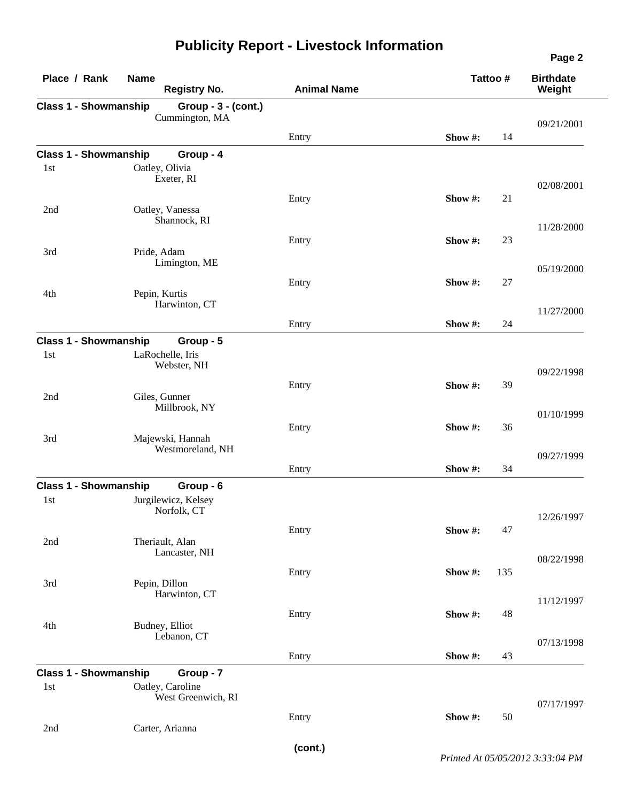| Place / Rank                        | <b>Name</b><br><b>Registry No.</b>    | <b>Animal Name</b> | Tattoo # |     | <b>Birthdate</b><br>Weight |
|-------------------------------------|---------------------------------------|--------------------|----------|-----|----------------------------|
| <b>Class 1 - Showmanship</b>        | Group - 3 - (cont.)<br>Cummington, MA |                    |          |     | 09/21/2001                 |
|                                     |                                       | Entry              | Show #:  | 14  |                            |
| <b>Class 1 - Showmanship</b>        | Group - 4                             |                    |          |     |                            |
| 1st                                 | Oatley, Olivia<br>Exeter, RI          |                    |          |     |                            |
|                                     |                                       |                    |          |     | 02/08/2001                 |
| 2nd                                 | Oatley, Vanessa                       | Entry              | Show #:  | 21  |                            |
|                                     | Shannock, RI                          |                    |          |     | 11/28/2000                 |
|                                     |                                       | Entry              | Show #:  | 23  |                            |
| 3rd                                 | Pride, Adam<br>Limington, ME          |                    |          |     |                            |
|                                     |                                       |                    |          |     | 05/19/2000                 |
|                                     |                                       | Entry              | Show #:  | 27  |                            |
| 4th                                 | Pepin, Kurtis<br>Harwinton, CT        |                    |          |     |                            |
|                                     |                                       |                    | Show #:  | 24  | 11/27/2000                 |
|                                     |                                       | Entry              |          |     |                            |
| <b>Class 1 - Showmanship</b><br>1st | Group - 5<br>LaRochelle, Iris         |                    |          |     |                            |
|                                     | Webster, NH                           |                    |          |     |                            |
|                                     |                                       | Entry              | Show #:  | 39  | 09/22/1998                 |
| 2nd                                 | Giles, Gunner                         |                    |          |     |                            |
|                                     | Millbrook, NY                         |                    |          |     | 01/10/1999                 |
|                                     |                                       | Entry              | Show #:  | 36  |                            |
| 3rd                                 | Majewski, Hannah                      |                    |          |     |                            |
|                                     | Westmoreland, NH                      |                    |          |     | 09/27/1999                 |
|                                     |                                       | Entry              | Show #:  | 34  |                            |
| <b>Class 1 - Showmanship</b>        | Group - 6                             |                    |          |     |                            |
| 1st                                 | Jurgilewicz, Kelsey<br>Norfolk, CT    |                    |          |     |                            |
|                                     |                                       | Entry              | Show#:   | 47  | 12/26/1997                 |
| 2nd                                 | Theriault, Alan                       |                    |          |     |                            |
|                                     | Lancaster, NH                         |                    |          |     | 08/22/1998                 |
|                                     |                                       | Entry              | Show #:  | 135 |                            |
| 3rd                                 | Pepin, Dillon<br>Harwinton, CT        |                    |          |     |                            |
|                                     |                                       |                    |          |     | 11/12/1997                 |
|                                     |                                       | Entry              | Show#:   | 48  |                            |
| 4th                                 | Budney, Elliot<br>Lebanon, CT         |                    |          |     |                            |
|                                     |                                       | Entry              | Show#:   | 43  | 07/13/1998                 |
|                                     |                                       |                    |          |     |                            |
| <b>Class 1 - Showmanship</b><br>1st | Group - 7<br>Oatley, Caroline         |                    |          |     |                            |
|                                     | West Greenwich, RI                    |                    |          |     |                            |
|                                     |                                       | Entry              | Show#:   | 50  | 07/17/1997                 |
| 2nd                                 | Carter, Arianna                       |                    |          |     |                            |

**(cont.)**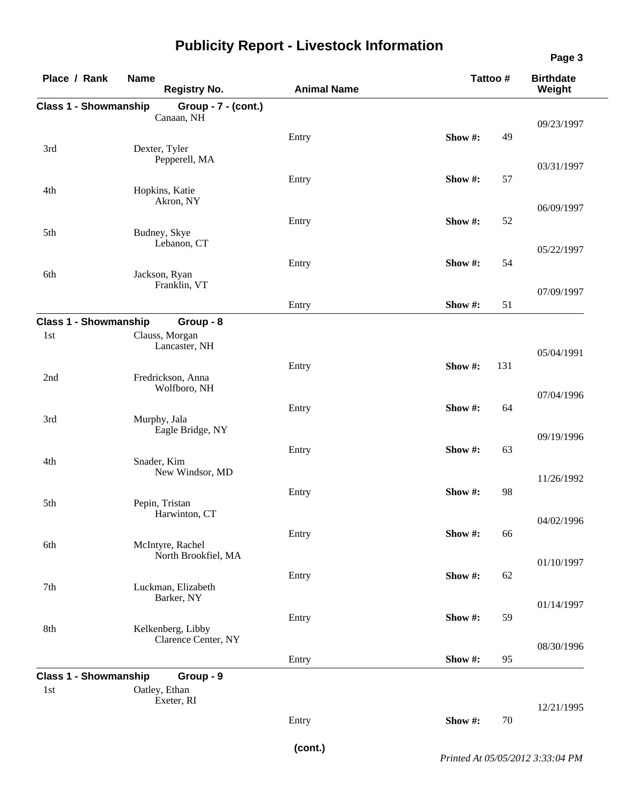| Place / Rank                        | <b>Name</b><br><b>Registry No.</b>       | <b>Animal Name</b> | Tattoo # |        | <b>Birthdate</b><br>Weight |
|-------------------------------------|------------------------------------------|--------------------|----------|--------|----------------------------|
| <b>Class 1 - Showmanship</b>        | Group - 7 - (cont.)                      |                    |          |        |                            |
|                                     | Canaan, NH                               |                    |          |        | 09/23/1997                 |
|                                     |                                          | Entry              | Show #:  | 49     |                            |
| 3rd                                 | Dexter, Tyler<br>Pepperell, MA           |                    |          |        |                            |
|                                     |                                          |                    |          |        | 03/31/1997                 |
| 4th                                 | Hopkins, Katie                           | Entry              | Show#:   | 57     |                            |
|                                     | Akron, NY                                |                    |          |        | 06/09/1997                 |
|                                     |                                          | Entry              | Show #:  | 52     |                            |
| 5th                                 | Budney, Skye                             |                    |          |        |                            |
|                                     | Lebanon, CT                              |                    |          |        | 05/22/1997                 |
|                                     |                                          | Entry              | Show#:   | 54     |                            |
| 6th                                 | Jackson, Ryan<br>Franklin, VT            |                    |          |        |                            |
|                                     |                                          |                    | Show #:  | 51     | 07/09/1997                 |
|                                     |                                          | Entry              |          |        |                            |
| <b>Class 1 - Showmanship</b><br>1st | Group - 8<br>Clauss, Morgan              |                    |          |        |                            |
|                                     | Lancaster, NH                            |                    |          |        | 05/04/1991                 |
|                                     |                                          | Entry              | Show #:  | 131    |                            |
| 2nd                                 | Fredrickson, Anna                        |                    |          |        |                            |
|                                     | Wolfboro, NH                             |                    |          |        | 07/04/1996                 |
|                                     |                                          | Entry              | Show #:  | 64     |                            |
| 3rd                                 | Murphy, Jala<br>Eagle Bridge, NY         |                    |          |        |                            |
|                                     |                                          | Entry              | Show#:   | 63     | 09/19/1996                 |
| 4th                                 | Snader, Kim                              |                    |          |        |                            |
|                                     | New Windsor, MD                          |                    |          |        | 11/26/1992                 |
|                                     |                                          | Entry              | Show #:  | 98     |                            |
| 5th                                 | Pepin, Tristan<br>Harwinton, CT          |                    |          |        |                            |
|                                     |                                          |                    |          |        | 04/02/1996                 |
| 6th                                 | McIntyre, Rachel                         | Entry              | Show#:   | 66     |                            |
|                                     | North Brookfiel, MA                      |                    |          |        | 01/10/1997                 |
|                                     |                                          | Entry              | Show#:   | 62     |                            |
| 7th                                 | Luckman, Elizabeth                       |                    |          |        |                            |
|                                     | Barker, NY                               |                    |          |        | 01/14/1997                 |
|                                     |                                          | Entry              | Show #:  | 59     |                            |
| 8th                                 | Kelkenberg, Libby<br>Clarence Center, NY |                    |          |        |                            |
|                                     |                                          |                    |          |        | 08/30/1996                 |
|                                     |                                          | Entry              | Show #:  | 95     |                            |
| <b>Class 1 - Showmanship</b><br>1st | Group - 9<br>Oatley, Ethan               |                    |          |        |                            |
|                                     | Exeter, RI                               |                    |          |        | 12/21/1995                 |
|                                     |                                          | Entry              | Show #:  | $70\,$ |                            |
|                                     |                                          |                    |          |        |                            |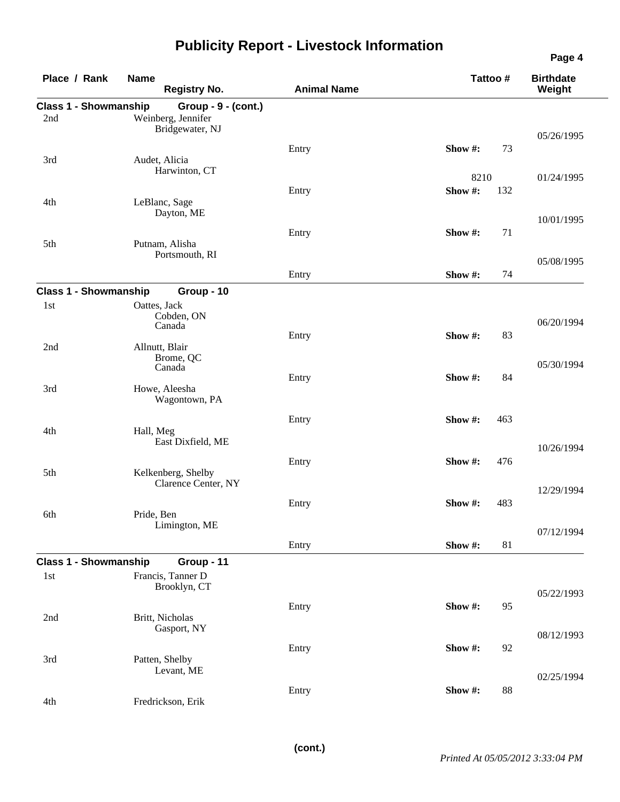|                              |                                       |                    |         |          | Page 4                     |
|------------------------------|---------------------------------------|--------------------|---------|----------|----------------------------|
| Place / Rank                 | <b>Name</b><br><b>Registry No.</b>    | <b>Animal Name</b> |         | Tattoo # | <b>Birthdate</b><br>Weight |
| <b>Class 1 - Showmanship</b> | Group - 9 - (cont.)                   |                    |         |          |                            |
| 2nd                          | Weinberg, Jennifer<br>Bridgewater, NJ |                    |         |          |                            |
|                              |                                       |                    |         |          | 05/26/1995                 |
|                              |                                       | Entry              | Show #: | 73       |                            |
| 3rd                          | Audet, Alicia<br>Harwinton, CT        |                    |         |          |                            |
|                              |                                       |                    | 8210    |          | 01/24/1995                 |
|                              |                                       | Entry              | Show#:  | 132      |                            |
| 4th                          | LeBlanc, Sage<br>Dayton, ME           |                    |         |          |                            |
|                              |                                       |                    |         |          | 10/01/1995                 |
|                              |                                       | Entry              | Show#:  | 71       |                            |
| 5th                          | Putnam, Alisha<br>Portsmouth, RI      |                    |         |          |                            |
|                              |                                       |                    |         |          | 05/08/1995                 |
|                              |                                       | Entry              | Show #: | 74       |                            |
| <b>Class 1 - Showmanship</b> | Group - 10                            |                    |         |          |                            |
| 1st                          | Oattes, Jack                          |                    |         |          |                            |
|                              | Cobden, ON<br>Canada                  |                    |         |          | 06/20/1994                 |
|                              |                                       | Entry              | Show #: | 83       |                            |
| 2nd                          | Allnutt, Blair                        |                    |         |          |                            |
|                              | Brome, QC<br>Canada                   |                    |         |          | 05/30/1994                 |
|                              |                                       | Entry              | Show#:  | 84       |                            |
| 3rd                          | Howe, Aleesha                         |                    |         |          |                            |
|                              | Wagontown, PA                         |                    |         |          |                            |
|                              |                                       | Entry              | Show #: | 463      |                            |
| 4th                          | Hall, Meg                             |                    |         |          |                            |
|                              | East Dixfield, ME                     |                    |         |          | 10/26/1994                 |
|                              |                                       | Entry              | Show #: | 476      |                            |
| 5th                          | Kelkenberg, Shelby                    |                    |         |          |                            |
|                              | Clarence Center, NY                   |                    |         |          | 12/29/1994                 |
|                              |                                       | Entry              | Show #: | 483      |                            |
| 6th                          | Pride, Ben                            |                    |         |          |                            |
|                              | Limington, ME                         |                    |         |          | 07/12/1994                 |
|                              |                                       | Entry              | Show#:  | 81       |                            |
| <b>Class 1 - Showmanship</b> | Group - 11                            |                    |         |          |                            |
| 1st                          | Francis, Tanner D                     |                    |         |          |                            |
|                              | Brooklyn, CT                          |                    |         |          |                            |
|                              |                                       |                    |         |          | 05/22/1993                 |
| 2nd                          | Britt, Nicholas                       | Entry              | Show#:  | 95       |                            |
|                              | Gasport, NY                           |                    |         |          |                            |
|                              |                                       |                    |         |          | 08/12/1993                 |
| 3rd                          | Patten, Shelby                        | Entry              | Show#:  | 92       |                            |
|                              | Levant, ME                            |                    |         |          |                            |
|                              |                                       |                    |         |          | 02/25/1994                 |
| 4th                          | Fredrickson, Erik                     | Entry              | Show #: | 88       |                            |
|                              |                                       |                    |         |          |                            |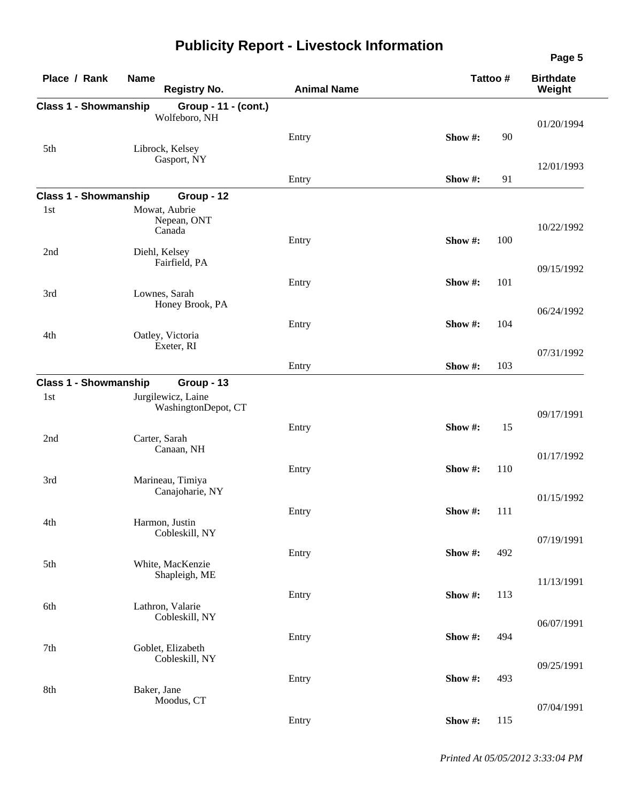| Place / Rank                 | <b>Name</b><br><b>Registry No.</b>        | <b>Animal Name</b> | Tattoo #       | <b>Birthdate</b><br>Weight |
|------------------------------|-------------------------------------------|--------------------|----------------|----------------------------|
| <b>Class 1 - Showmanship</b> | Group - 11 - (cont.)<br>Wolfeboro, NH     |                    |                | 01/20/1994                 |
| 5th                          | Librock, Kelsey                           | Entry              | 90<br>Show #:  |                            |
|                              | Gasport, NY                               | Entry              | Show #:<br>91  | 12/01/1993                 |
| <b>Class 1 - Showmanship</b> | Group - 12                                |                    |                |                            |
| 1st                          | Mowat, Aubrie<br>Nepean, ONT<br>Canada    |                    |                | 10/22/1992                 |
| 2nd                          | Diehl, Kelsey<br>Fairfield, PA            | Entry              | Show #:<br>100 |                            |
|                              |                                           | Entry              | Show#:<br>101  | 09/15/1992                 |
| 3rd                          | Lownes, Sarah<br>Honey Brook, PA          |                    |                | 06/24/1992                 |
| 4th                          | Oatley, Victoria                          | Entry              | Show #:<br>104 |                            |
|                              | Exeter, RI                                | Entry              | Show #:<br>103 | 07/31/1992                 |
| <b>Class 1 - Showmanship</b> | Group - 13                                |                    |                |                            |
| 1st                          | Jurgilewicz, Laine<br>WashingtonDepot, CT |                    |                | 09/17/1991                 |
| 2nd                          | Carter, Sarah                             | Entry              | Show #:<br>15  |                            |
|                              | Canaan, NH                                |                    |                | 01/17/1992                 |
| 3rd                          | Marineau, Timiya<br>Canajoharie, NY       | Entry              | Show #:<br>110 |                            |
| 4th                          | Harmon, Justin                            | Entry              | Show #:<br>111 | 01/15/1992                 |
|                              | Cobleskill, NY                            |                    |                | 07/19/1991                 |
| 5th                          | White, MacKenzie<br>Shapleigh, ME         | Entry              | Show #:<br>492 |                            |
|                              |                                           | Entry              | Show #:<br>113 | 11/13/1991                 |
| 6th                          | Lathron, Valarie<br>Cobleskill, NY        |                    |                | 06/07/1991                 |
| 7th                          | Goblet, Elizabeth                         | Entry              | Show #:<br>494 |                            |
|                              | Cobleskill, NY                            |                    |                | 09/25/1991                 |
| 8th                          | Baker, Jane<br>Moodus, CT                 | Entry              | Show #:<br>493 |                            |
|                              |                                           |                    |                | 07/04/1991                 |
|                              |                                           | Entry              | Show#:<br>115  |                            |

*Printed At 05/05/2012 3:33:04 PM*

**Page 5**

 $\sim$